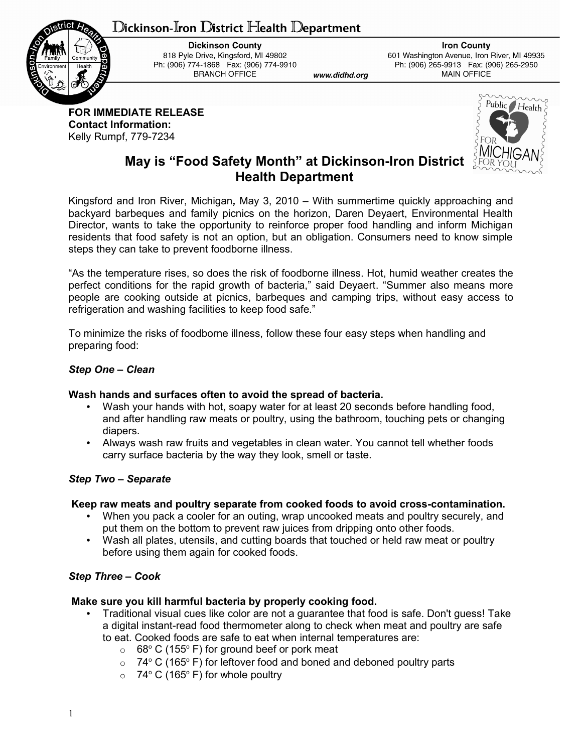# ${\mathbb D}$ ickinson-Iron  ${\mathbb D}$ istrict Health  ${\mathbb D}$ epartment



**Dickinson County** 818 Pyle Drive, Kingsford, MI 49802 Ph: (906) 774-1868 Fax: (906) 774-9910 **BRANCH OFFICE** 

**Iron County** 601 Washington Avenue, Iron River, MI 49935 Ph: (906) 265-9913 Fax: (906) 265-2950 MAIN OFFICE

**FOR IMMEDIATE RELEASE Contact Information:** Kelly Rumpf, 779-7234



# **May is "Food Safety Month" at Dickinson-Iron District Health Department**

www.didhd.org

Kingsford and Iron River, Michigan*,* May 3, 2010 – With summertime quickly approaching and backyard barbeques and family picnics on the horizon, Daren Deyaert, Environmental Health Director, wants to take the opportunity to reinforce proper food handling and inform Michigan residents that food safety is not an option, but an obligation. Consumers need to know simple steps they can take to prevent foodborne illness.

"As the temperature rises, so does the risk of foodborne illness. Hot, humid weather creates the perfect conditions for the rapid growth of bacteria," said Deyaert. "Summer also means more people are cooking outside at picnics, barbeques and camping trips, without easy access to refrigeration and washing facilities to keep food safe."

To minimize the risks of foodborne illness, follow these four easy steps when handling and preparing food:

## *Step One* **–** *Clean*

#### **Wash hands and surfaces often to avoid the spread of bacteria.**

- Wash your hands with hot, soapy water for at least 20 seconds before handling food, and after handling raw meats or poultry, using the bathroom, touching pets or changing diapers.
- Always wash raw fruits and vegetables in clean water. You cannot tell whether foods carry surface bacteria by the way they look, smell or taste.

#### *Step Two – Separate*

#### **Keep raw meats and poultry separate from cooked foods to avoid cross-contamination.**

- When you pack a cooler for an outing, wrap uncooked meats and poultry securely, and put them on the bottom to prevent raw juices from dripping onto other foods.
- Wash all plates, utensils, and cutting boards that touched or held raw meat or poultry before using them again for cooked foods.

## *Step Three – Cook*

#### **Make sure you kill harmful bacteria by properly cooking food.**

- Traditional visual cues like color are not a guarantee that food is safe. Don't guess! Take a digital instant-read food thermometer along to check when meat and poultry are safe to eat. Cooked foods are safe to eat when internal temperatures are:
	- $\circ$  68° C (155° F) for ground beef or pork meat
	- $\circ$  74° C (165° F) for leftover food and boned and deboned poultry parts
	- $\circ$  74° C (165° F) for whole poultry